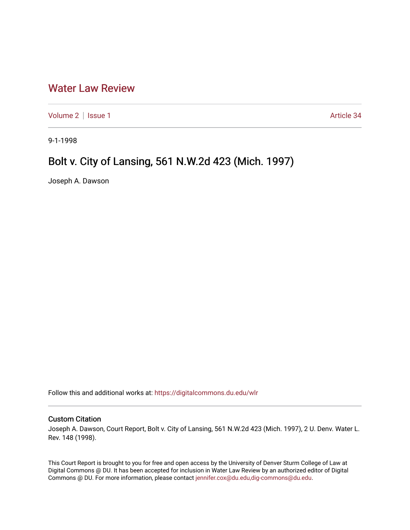## [Water Law Review](https://digitalcommons.du.edu/wlr)

[Volume 2](https://digitalcommons.du.edu/wlr/vol2) | [Issue 1](https://digitalcommons.du.edu/wlr/vol2/iss1) Article 34

9-1-1998

## Bolt v. City of Lansing, 561 N.W.2d 423 (Mich. 1997)

Joseph A. Dawson

Follow this and additional works at: [https://digitalcommons.du.edu/wlr](https://digitalcommons.du.edu/wlr?utm_source=digitalcommons.du.edu%2Fwlr%2Fvol2%2Fiss1%2F34&utm_medium=PDF&utm_campaign=PDFCoverPages) 

## Custom Citation

Joseph A. Dawson, Court Report, Bolt v. City of Lansing, 561 N.W.2d 423 (Mich. 1997), 2 U. Denv. Water L. Rev. 148 (1998).

This Court Report is brought to you for free and open access by the University of Denver Sturm College of Law at Digital Commons @ DU. It has been accepted for inclusion in Water Law Review by an authorized editor of Digital Commons @ DU. For more information, please contact [jennifer.cox@du.edu,dig-commons@du.edu.](mailto:jennifer.cox@du.edu,dig-commons@du.edu)